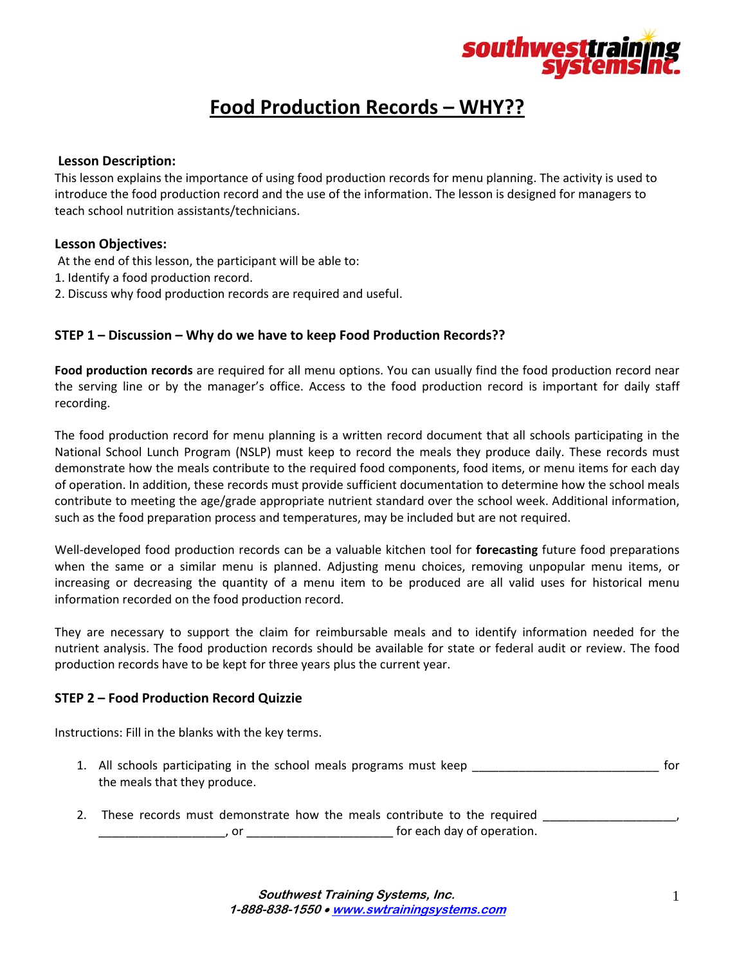

# **Food Production Records – WHY??**

## **Lesson Description:**

This lesson explains the importance of using food production records for menu planning. The activity is used to introduce the food production record and the use of the information. The lesson is designed for managers to teach school nutrition assistants/technicians.

## **Lesson Objectives:**

- At the end of this lesson, the participant will be able to:
- 1. Identify a food production record.
- 2. Discuss why food production records are required and useful.

## **STEP 1 – Discussion – Why do we have to keep Food Production Records??**

**Food production records** are required for all menu options. You can usually find the food production record near the serving line or by the manager's office. Access to the food production record is important for daily staff recording.

The food production record for menu planning is a written record document that all schools participating in the National School Lunch Program (NSLP) must keep to record the meals they produce daily. These records must demonstrate how the meals contribute to the required food components, food items, or menu items for each day of operation. In addition, these records must provide sufficient documentation to determine how the school meals contribute to meeting the age/grade appropriate nutrient standard over the school week. Additional information, such as the food preparation process and temperatures, may be included but are not required.

Well‐developed food production records can be a valuable kitchen tool for **forecasting** future food preparations when the same or a similar menu is planned. Adjusting menu choices, removing unpopular menu items, or increasing or decreasing the quantity of a menu item to be produced are all valid uses for historical menu information recorded on the food production record.

They are necessary to support the claim for reimbursable meals and to identify information needed for the nutrient analysis. The food production records should be available for state or federal audit or review. The food production records have to be kept for three years plus the current year.

## **STEP 2 – Food Production Record Quizzie**

Instructions: Fill in the blanks with the key terms.

- 1. All schools participating in the school meals programs must keep \_\_\_\_\_\_\_\_\_\_\_\_\_\_\_\_\_\_\_\_\_\_\_\_\_\_\_\_ for the meals that they produce.
- 2. These records must demonstrate how the meals contribute to the required \_\_\_\_\_ \_\_\_\_\_\_\_\_\_\_\_\_\_\_\_\_\_\_\_, or \_\_\_\_\_\_\_\_\_\_\_\_\_\_\_\_\_\_\_\_\_\_ for each day of operation.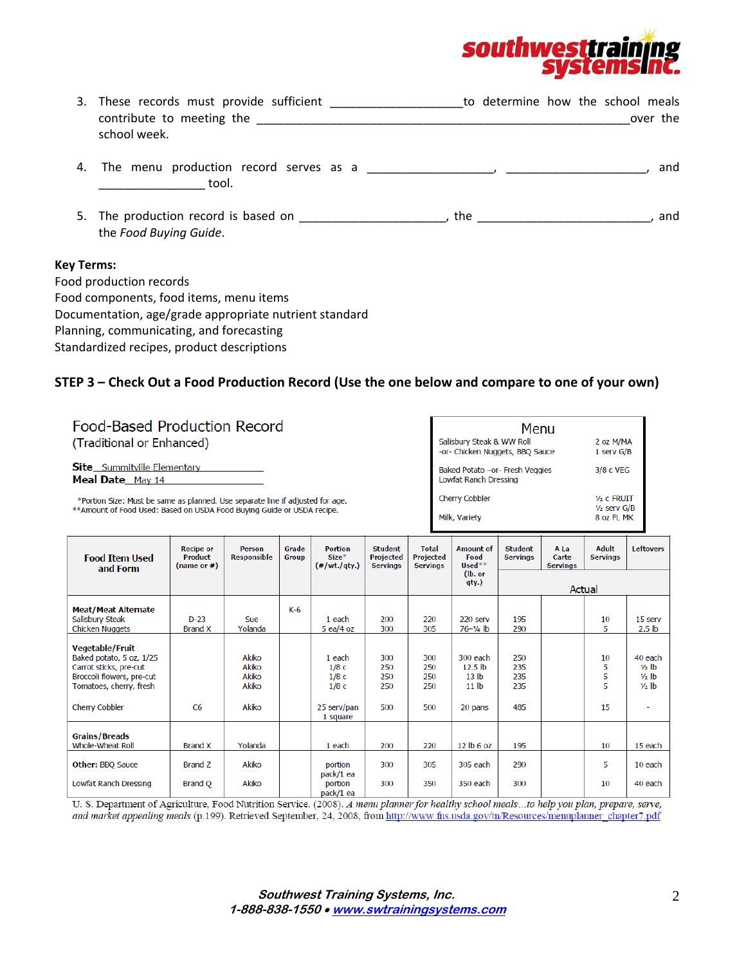

| 3. These records must provide sufficient<br>contribute to meeting the<br>school week.                                         | to determine how the school meals<br>over the |
|-------------------------------------------------------------------------------------------------------------------------------|-----------------------------------------------|
| The menu production record serves as a measured by the menu of the production record serves as a mean of the m<br>4.<br>tool. | and                                           |
| 5. The production record is based on<br>the Food Buying Guide.                                                                | the<br>. and                                  |
| <b>Key Terms:</b><br>Food production records<br>Food components, food items, menu items                                       |                                               |
| Documentation, age/grade appropriate nutrient standard                                                                        |                                               |

STEP 3 - Check Out a Food Production Record (Use the one below and compare to one of your own)

Planning, communicating, and forecasting Standardized recipes, product descriptions

| Food-Based Production Record                                                   | Menu                                                            |                                   |  |  |
|--------------------------------------------------------------------------------|-----------------------------------------------------------------|-----------------------------------|--|--|
| (Traditional or Enhanced)                                                      | Salisbury Steak & WW Roll<br>-or- Chicken Nuggets, BBQ Sauce    | 2 oz M/MA<br>1 serv G/B           |  |  |
| <b>Site</b> Summitville Elementary<br>Meal Date May 14                         | Baked Potato -or- Fresh Veggies<br><b>Lowfat Ranch Dressing</b> | 3/8 c VEG                         |  |  |
| *Portion Size: Must be same as planned. Use separate line if adjusted for age. | <b>Cherry Cobbler</b>                                           | $1/2$ c FRUIT<br>$1/2$ serv $G/B$ |  |  |
| **Amount of Food Used: Based on USDA Food Buying Guide or USDA recipe.         | Milk, Variety                                                   | 8 oz FL MK                        |  |  |

| <b>Food Item Used</b><br>and Form                                                                                                    | <b>Recipe or</b><br><b>Product</b><br>(name or #) | <b>Person</b><br>Responsible     | Grade<br>Group | <b>Portion</b><br>$Size*$<br>$(*/wt./qty.)$  | <b>Student</b><br>Projected<br><b>Servings</b> | <b>Total</b><br>Projected<br><b>Servings</b> | <b>Amount of</b><br>Food<br>$Use d**(lb. orqty.)$                      | <b>Student</b><br><b>Servings</b> | A La<br>Carte<br><b>Servings</b> | <b>Adult</b><br><b>Servings</b> | <b>Leftovers</b>                            |
|--------------------------------------------------------------------------------------------------------------------------------------|---------------------------------------------------|----------------------------------|----------------|----------------------------------------------|------------------------------------------------|----------------------------------------------|------------------------------------------------------------------------|-----------------------------------|----------------------------------|---------------------------------|---------------------------------------------|
|                                                                                                                                      |                                                   |                                  |                |                                              |                                                |                                              |                                                                        | Actual                            |                                  |                                 |                                             |
| <b>Meat/Meat Alternate</b><br>Salisbury Steak<br>Chicken Nuggets                                                                     | $D-23$<br><b>Brand X</b>                          | <b>Sue</b><br>Yolanda            | $K-6$          | 1 each<br>$5$ ea/4 oz                        | 200<br>300                                     | 220<br>305                                   | 220 serv<br>$76 - 1/4$ lb                                              | 195<br>290                        |                                  | 10<br>5                         | 15 serv<br>2.5 <sub>lb</sub>                |
| <b>Vegetable/Fruit</b><br>Baked potato, 5 oz, 1/25<br>Carrot sticks, pre-cut<br>Broccoli flowers, pre-cut<br>Tomatoes, cherry, fresh |                                                   | Akiko<br>Akiko<br>Akiko<br>Akiko |                | 1 each<br>1/8c<br>1/8c<br>1/8c               | 300<br>250<br>250<br>250                       | 300<br>250<br>250<br>250                     | 300 each<br>12.5 <sub>lb</sub><br>13 <sub>lb</sub><br>11 <sub>lb</sub> | 250<br>235<br>235<br>235          |                                  | 10<br>5<br>5<br>5               | 40 each<br>$1/2$ lb<br>$1/2$ lb<br>$1/2$ lb |
| <b>Cherry Cobbler</b>                                                                                                                | C6                                                | Akiko                            |                | 25 serv/pan<br>1 square                      | 500                                            | 500                                          | 20 pans                                                                | 485                               |                                  | 15                              |                                             |
| <b>Grains/Breads</b><br>Whole-Wheat Roll                                                                                             | <b>Brand X</b>                                    | Yolanda                          |                | 1 each                                       | 200                                            | 220                                          | 12 lb 6 oz                                                             | 195                               |                                  | 10                              | 15 each                                     |
| <b>Other: BBQ Sauce</b><br>Lowfat Ranch Dressing                                                                                     | <b>Brand Z</b><br><b>Brand Q</b>                  | Akiko<br>Akiko                   |                | portion<br>pack/1 ea<br>portion<br>pack/1 ea | 300<br>300                                     | 305<br>350                                   | 305 each<br>350 each                                                   | 290<br>300                        |                                  | 5<br>10                         | 10 each<br>40 each                          |

U. S. Department of Agriculture, Food Nutrition Service. (2008). A menu planner for healthy school meals ...to help you plan, prepare, serve, and market appealing meals (p.199). Retrieved September, 24, 2008, from http://www.fns.usda.gov/tn/Resources/menuplanner\_chapter7.pdf